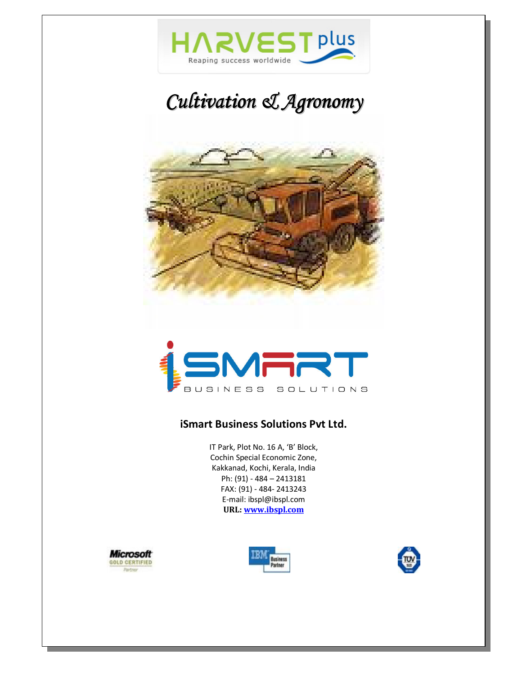

# *Cultivation & Agronomy*





#### **iSmart Business Solutions Pvt Ltd.**

IT Park, Plot No. 16 A, 'B' Block, Cochin Special Economic Zone, Kakkanad, Kochi, Kerala, India Ph: (91) - 484 – 2413181 FAX: (91) - 484- 2413243 E-mail: ibspl@ibspl.com **URL: www.ibspl.com**



 $\overline{\phantom{0}}$ 



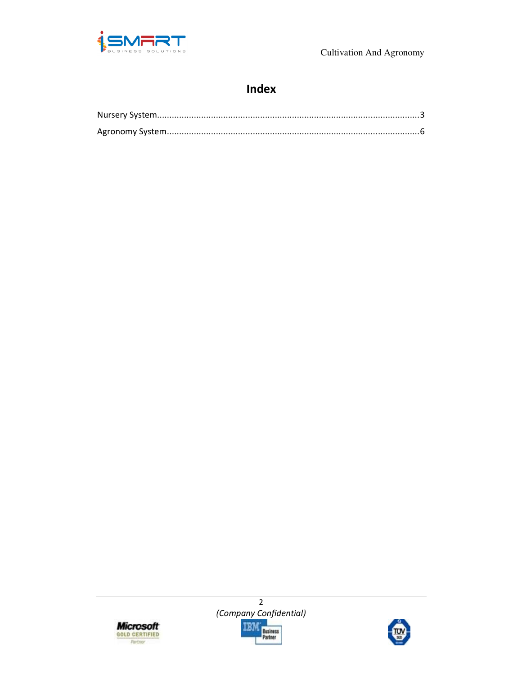

Cultivation And Agronomy

### Index





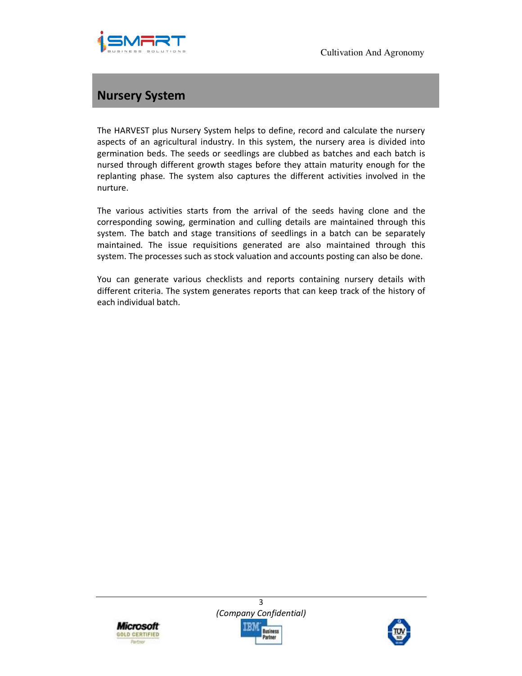



## **Nursery System**

The HARVEST plus Nursery System helps to define, record and calculate the nursery aspects of an agricultural industry. In this system, the nursery area is divided into germination beds. The seeds or seedlings are clubbed as batches and each batch is nursed through different growth stages before they attain maturity enough for the replanting phase. The system also captures the different activities involved in the nurture.

The various activities starts from the arrival of the seeds having clone and the corresponding sowing, germination and culling details are maintained through this system. The batch and stage transitions of seedlings in a batch can be separately maintained. The issue requisitions generated are also maintained through this system. The processes such as stock valuation and accounts posting can also be done.

You can generate various checklists and reports containing nursery details with different criteria. The system generates reports that can keep track of the history of each individual batch.



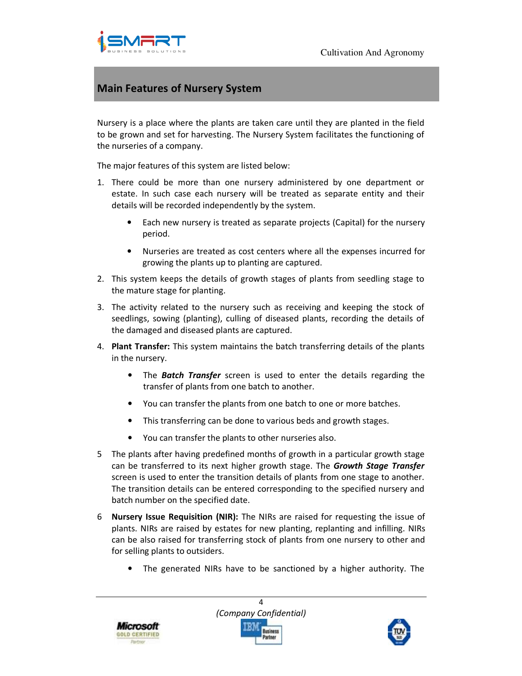



#### **Main Features of Nursery System**

Nursery is a place where the plants are taken care until they are planted in the field to be grown and set for harvesting. The Nursery System facilitates the functioning of the nurseries of a company.

The major features of this system are listed below:

- 1. There could be more than one nursery administered by one department or estate. In such case each nursery will be treated as separate entity and their details will be recorded independently by the system.
	- Each new nursery is treated as separate projects (Capital) for the nursery period.
	- Nurseries are treated as cost centers where all the expenses incurred for growing the plants up to planting are captured.
- 2. This system keeps the details of growth stages of plants from seedling stage to the mature stage for planting.
- 3. The activity related to the nursery such as receiving and keeping the stock of seedlings, sowing (planting), culling of diseased plants, recording the details of the damaged and diseased plants are captured.
- 4. **Plant Transfer:** This system maintains the batch transferring details of the plants in the nursery.
	- The *Batch Transfer* screen is used to enter the details regarding the transfer of plants from one batch to another.
	- You can transfer the plants from one batch to one or more batches.
	- This transferring can be done to various beds and growth stages.
	- You can transfer the plants to other nurseries also.
- 5 The plants after having predefined months of growth in a particular growth stage can be transferred to its next higher growth stage. The *Growth Stage Transfer* screen is used to enter the transition details of plants from one stage to another. The transition details can be entered corresponding to the specified nursery and batch number on the specified date.
- 6 **Nursery Issue Requisition (NIR):** The NIRs are raised for requesting the issue of plants. NIRs are raised by estates for new planting, replanting and infilling. NIRs can be also raised for transferring stock of plants from one nursery to other and for selling plants to outsiders.
	- The generated NIRs have to be sanctioned by a higher authority. The





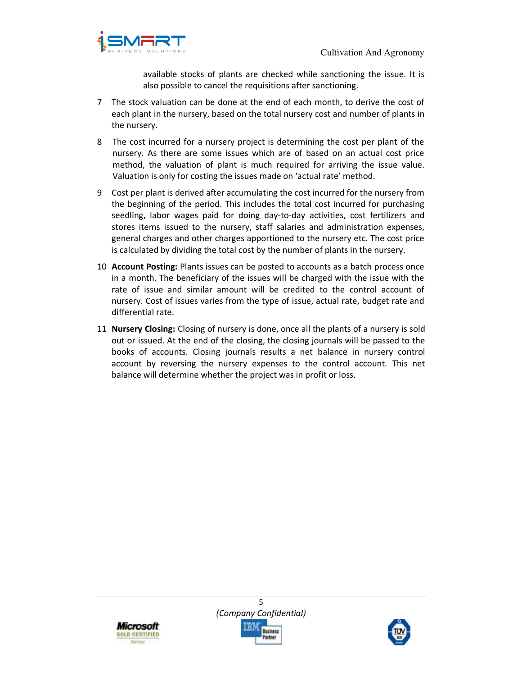

available stocks of plants are checked while sanctioning the issue. It is also possible to cancel the requisitions after sanctioning.

- 7 The stock valuation can be done at the end of each month, to derive the cost of each plant in the nursery, based on the total nursery cost and number of plants in the nursery.
- 8 The cost incurred for a nursery project is determining the cost per plant of the nursery. As there are some issues which are of based on an actual cost price method, the valuation of plant is much required for arriving the issue value. Valuation is only for costing the issues made on 'actual rate' method.
- 9 Cost per plant is derived after accumulating the cost incurred for the nursery from the beginning of the period. This includes the total cost incurred for purchasing seedling, labor wages paid for doing day-to-day activities, cost fertilizers and stores items issued to the nursery, staff salaries and administration expenses, general charges and other charges apportioned to the nursery etc. The cost price is calculated by dividing the total cost by the number of plants in the nursery.
- 10 **Account Posting:** Plants issues can be posted to accounts as a batch process once in a month. The beneficiary of the issues will be charged with the issue with the rate of issue and similar amount will be credited to the control account of nursery. Cost of issues varies from the type of issue, actual rate, budget rate and differential rate.
- 11 **Nursery Closing:** Closing of nursery is done, once all the plants of a nursery is sold out or issued. At the end of the closing, the closing journals will be passed to the books of accounts. Closing journals results a net balance in nursery control account by reversing the nursery expenses to the control account. This net balance will determine whether the project was in profit or loss.



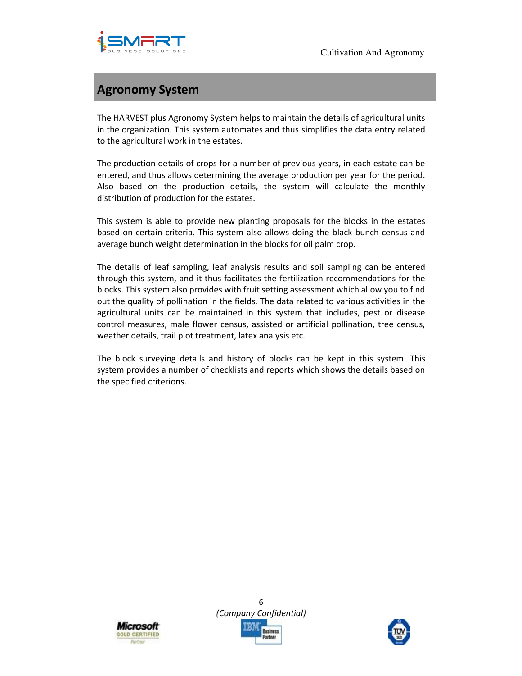

## **Agronomy System**

The HARVEST plus Agronomy System helps to maintain the details of agricultural units in the organization. This system automates and thus simplifies the data entry related to the agricultural work in the estates.

The production details of crops for a number of previous years, in each estate can be entered, and thus allows determining the average production per year for the period. Also based on the production details, the system will calculate the monthly distribution of production for the estates.

This system is able to provide new planting proposals for the blocks in the estates based on certain criteria. This system also allows doing the black bunch census and average bunch weight determination in the blocks for oil palm crop.

The details of leaf sampling, leaf analysis results and soil sampling can be entered through this system, and it thus facilitates the fertilization recommendations for the blocks. This system also provides with fruit setting assessment which allow you to find out the quality of pollination in the fields. The data related to various activities in the agricultural units can be maintained in this system that includes, pest or disease control measures, male flower census, assisted or artificial pollination, tree census, weather details, trail plot treatment, latex analysis etc.

The block surveying details and history of blocks can be kept in this system. This system provides a number of checklists and reports which shows the details based on the specified criterions.



6 *(Company Confidential)*  Business

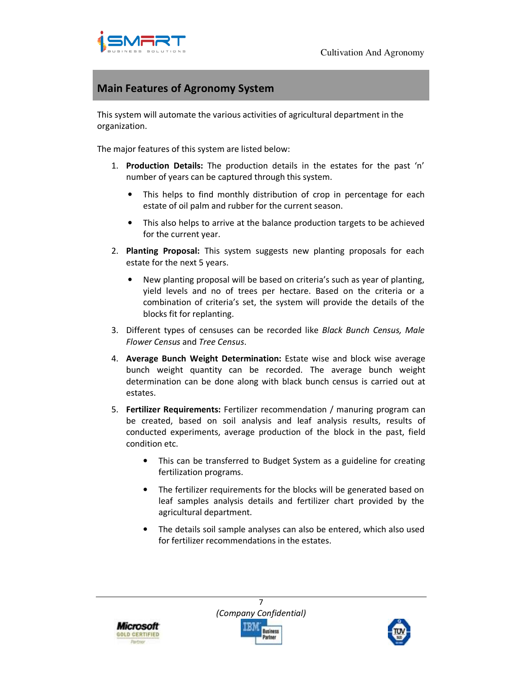

#### **Main Features of Agronomy System**

This system will automate the various activities of agricultural department in the organization.

The major features of this system are listed below:

- 1. **Production Details:** The production details in the estates for the past 'n' number of years can be captured through this system.
	- This helps to find monthly distribution of crop in percentage for each estate of oil palm and rubber for the current season.
	- This also helps to arrive at the balance production targets to be achieved for the current year.
- 2. **Planting Proposal:** This system suggests new planting proposals for each estate for the next 5 years.
	- New planting proposal will be based on criteria's such as year of planting, yield levels and no of trees per hectare. Based on the criteria or a combination of criteria's set, the system will provide the details of the blocks fit for replanting.
- 3. Different types of censuses can be recorded like *Black Bunch Census, Male Flower Census* and *Tree Census*.
- 4. **Average Bunch Weight Determination:** Estate wise and block wise average bunch weight quantity can be recorded. The average bunch weight determination can be done along with black bunch census is carried out at estates.
- 5. **Fertilizer Requirements:** Fertilizer recommendation / manuring program can be created, based on soil analysis and leaf analysis results, results of conducted experiments, average production of the block in the past, field condition etc.
	- This can be transferred to Budget System as a guideline for creating fertilization programs.
	- The fertilizer requirements for the blocks will be generated based on leaf samples analysis details and fertilizer chart provided by the agricultural department.
	- The details soil sample analyses can also be entered, which also used for fertilizer recommendations in the estates.



7 *(Company Confidential)*  **Business**